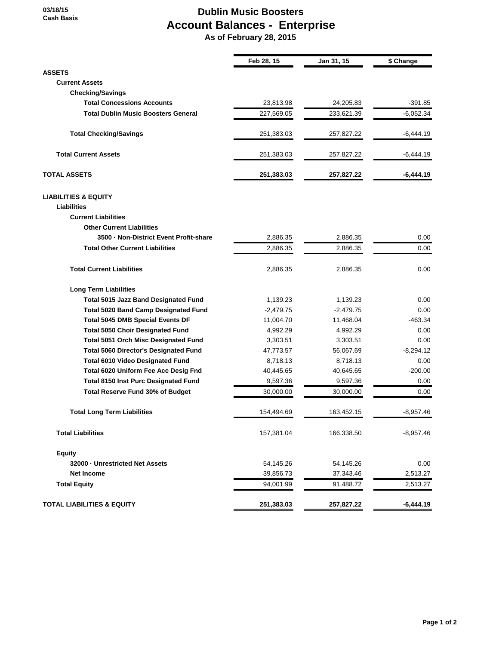**03/18/15 Cash Basis**

## **Dublin Music Boosters Account Balances - Enterprise As of February 28, 2015**

|                                              | Feb 28, 15  | Jan 31, 15  | \$ Change   |
|----------------------------------------------|-------------|-------------|-------------|
| <b>ASSETS</b>                                |             |             |             |
| <b>Current Assets</b>                        |             |             |             |
| <b>Checking/Savings</b>                      |             |             |             |
| <b>Total Concessions Accounts</b>            | 23,813.98   | 24,205.83   | $-391.85$   |
| <b>Total Dublin Music Boosters General</b>   | 227,569.05  | 233,621.39  | $-6,052.34$ |
| <b>Total Checking/Savings</b>                | 251,383.03  | 257,827.22  | $-6,444.19$ |
| <b>Total Current Assets</b>                  | 251,383.03  | 257,827.22  | -6,444.19   |
| <b>TOTAL ASSETS</b>                          | 251,383.03  | 257,827.22  | $-6,444.19$ |
| <b>LIABILITIES &amp; EQUITY</b>              |             |             |             |
| Liabilities                                  |             |             |             |
| <b>Current Liabilities</b>                   |             |             |             |
| <b>Other Current Liabilities</b>             |             |             |             |
| 3500 - Non-District Event Profit-share       | 2,886.35    | 2,886.35    | 0.00        |
| <b>Total Other Current Liabilities</b>       | 2,886.35    | 2,886.35    | 0.00        |
| <b>Total Current Liabilities</b>             | 2,886.35    | 2,886.35    | 0.00        |
| <b>Long Term Liabilities</b>                 |             |             |             |
| <b>Total 5015 Jazz Band Designated Fund</b>  | 1,139.23    | 1,139.23    | 0.00        |
| <b>Total 5020 Band Camp Designated Fund</b>  | $-2,479.75$ | $-2,479.75$ | 0.00        |
| <b>Total 5045 DMB Special Events DF</b>      | 11,004.70   | 11,468.04   | $-463.34$   |
| <b>Total 5050 Choir Designated Fund</b>      | 4,992.29    | 4,992.29    | 0.00        |
| <b>Total 5051 Orch Misc Designated Fund</b>  | 3,303.51    | 3,303.51    | 0.00        |
| <b>Total 5060 Director's Designated Fund</b> | 47,773.57   | 56,067.69   | $-8,294.12$ |
| <b>Total 6010 Video Designated Fund</b>      | 8,718.13    | 8,718.13    | 0.00        |
| Total 6020 Uniform Fee Acc Desig Fnd         | 40,445.65   | 40,645.65   | $-200.00$   |
| <b>Total 8150 Inst Purc Designated Fund</b>  | 9,597.36    | 9,597.36    | 0.00        |
| Total Reserve Fund 30% of Budget             | 30,000.00   | 30,000.00   | 0.00        |
| <b>Total Long Term Liabilities</b>           | 154.494.69  | 163,452.15  | $-8,957.46$ |
| <b>Total Liabilities</b>                     | 157,381.04  | 166,338.50  | $-8,957.46$ |
| <b>Equity</b>                                |             |             |             |
| 32000 - Unrestricted Net Assets              | 54,145.26   | 54,145.26   | 0.00        |
| <b>Net Income</b>                            | 39,856.73   | 37,343.46   | 2,513.27    |
| <b>Total Equity</b>                          | 94,001.99   | 91,488.72   | 2,513.27    |
| <b>TOTAL LIABILITIES &amp; EQUITY</b>        | 251,383.03  | 257,827.22  | $-6,444.19$ |